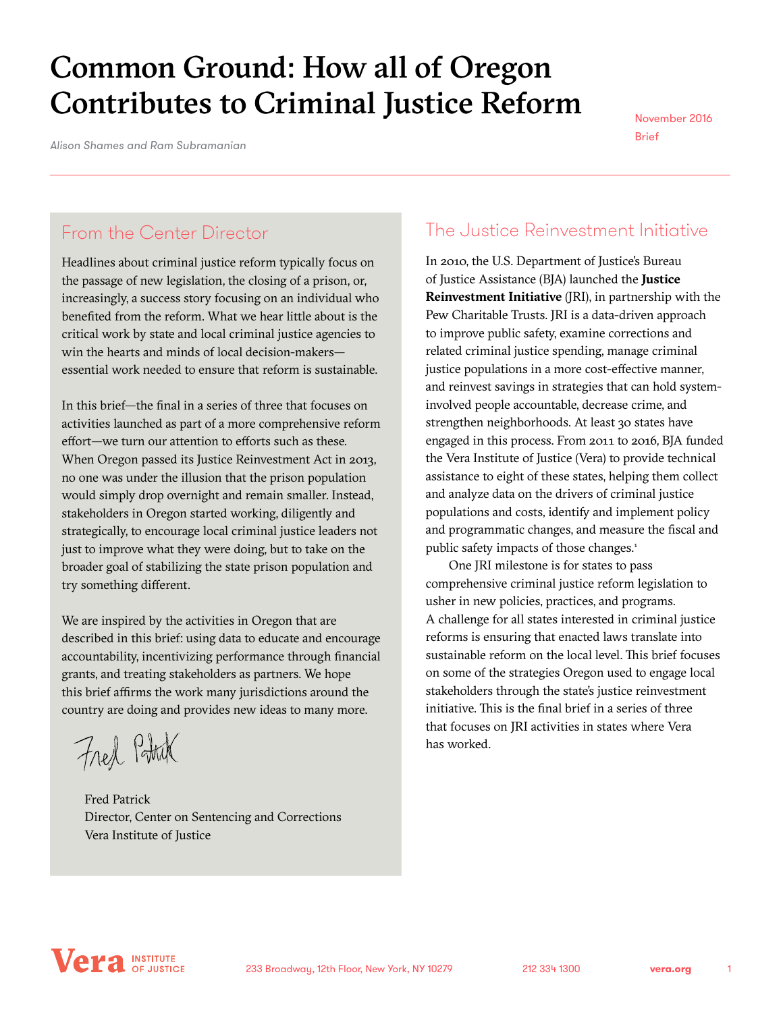# Common Ground: How all of Oregon Contributes to Criminal Justice Reform

*Alison Shames and Ram Subramanian*

November 2016 Brief

## From the Center Director

Headlines about criminal justice reform typically focus on the passage of new legislation, the closing of a prison, or, increasingly, a success story focusing on an individual who benefited from the reform. What we hear little about is the critical work by state and local criminal justice agencies to win the hearts and minds of local decision-makers essential work needed to ensure that reform is sustainable.

In this brief—the final in a series of three that focuses on activities launched as part of a more comprehensive reform effort—we turn our attention to efforts such as these. When Oregon passed its Justice Reinvestment Act in 2013, no one was under the illusion that the prison population would simply drop overnight and remain smaller. Instead, stakeholders in Oregon started working, diligently and strategically, to encourage local criminal justice leaders not just to improve what they were doing, but to take on the broader goal of stabilizing the state prison population and try something different.

We are inspired by the activities in Oregon that are described in this brief: using data to educate and encourage accountability, incentivizing performance through financial grants, and treating stakeholders as partners. We hope this brief affirms the work many jurisdictions around the country are doing and provides new ideas to many more.

Fred Pottak

Fred Patrick Director, Center on Sentencing and Corrections Vera Institute of Justice

# The Justice Reinvestment Initiative

In 2010, the U.S. Department of Justice's Bureau of Justice Assistance (BJA) launched the **Justice Reinvestment Initiative** (JRI), in partnership with the Pew Charitable Trusts. JRI is a data-driven approach to improve public safety, examine corrections and related criminal justice spending, manage criminal justice populations in a more cost-effective manner, and reinvest savings in strategies that can hold systeminvolved people accountable, decrease crime, and strengthen neighborhoods. At least 30 states have engaged in this process. From 2011 to 2016, BJA funded the Vera Institute of Justice (Vera) to provide technical assistance to eight of these states, helping them collect and analyze data on the drivers of criminal justice populations and costs, identify and implement policy and programmatic changes, and measure the fiscal and public safety impacts of those changes.<sup>1</sup>

One JRI milestone is for states to pass comprehensive criminal justice reform legislation to usher in new policies, practices, and programs. A challenge for all states interested in criminal justice reforms is ensuring that enacted laws translate into sustainable reform on the local level. This brief focuses on some of the strategies Oregon used to engage local stakeholders through the state's justice reinvestment initiative. This is the final brief in a series of three that focuses on JRI activities in states where Vera has worked.

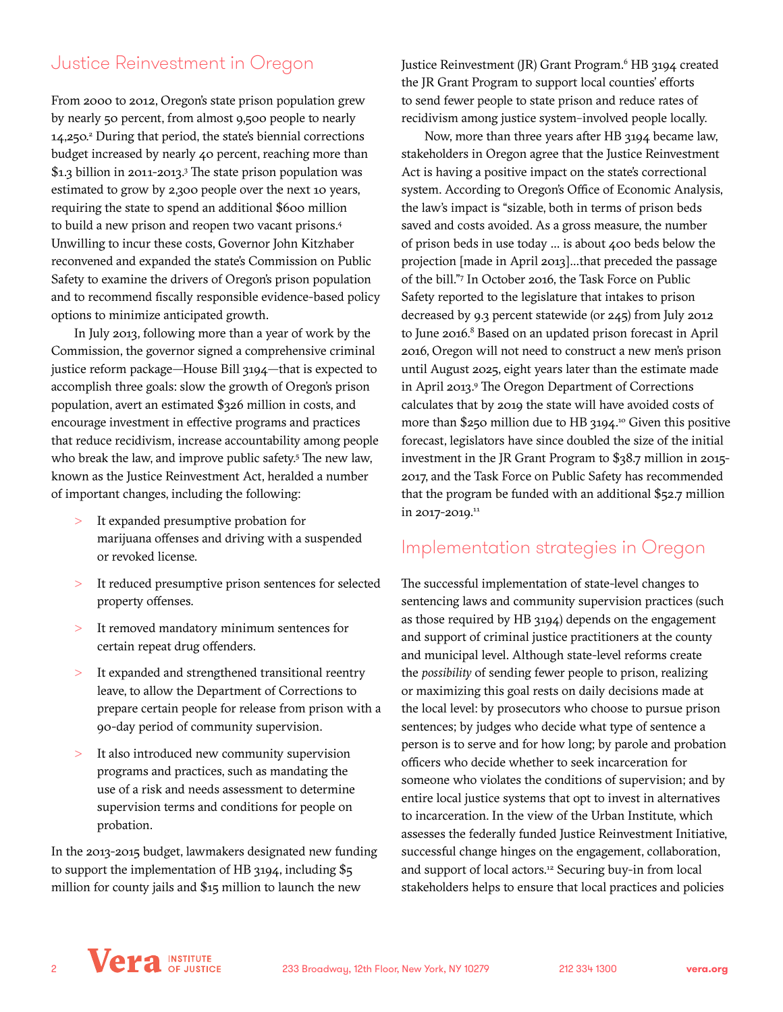# Justice Reinvestment in Oregon

From 2000 to 2012, Oregon's state prison population grew by nearly 50 percent, from almost 9,500 people to nearly 14,250.<sup>2</sup> During that period, the state's biennial corrections budget increased by nearly 40 percent, reaching more than \$1.3 billion in 2011-2013.<sup>3</sup> The state prison population was estimated to grow by 2,300 people over the next 10 years, requiring the state to spend an additional \$600 million to build a new prison and reopen two vacant prisons.4 Unwilling to incur these costs, Governor John Kitzhaber reconvened and expanded the state's Commission on Public Safety to examine the drivers of Oregon's prison population and to recommend fiscally responsible evidence-based policy options to minimize anticipated growth.

In July 2013, following more than a year of work by the Commission, the governor signed a comprehensive criminal justice reform package—House Bill 3194—that is expected to accomplish three goals: slow the growth of Oregon's prison population, avert an estimated \$326 million in costs, and encourage investment in effective programs and practices that reduce recidivism, increase accountability among people who break the law, and improve public safety.<sup>5</sup> The new law, known as the Justice Reinvestment Act, heralded a number of important changes, including the following:

- > It expanded presumptive probation for marijuana offenses and driving with a suspended or revoked license.
- It reduced presumptive prison sentences for selected property offenses.
- > It removed mandatory minimum sentences for certain repeat drug offenders.
- It expanded and strengthened transitional reentry leave, to allow the Department of Corrections to prepare certain people for release from prison with a 90-day period of community supervision.
- It also introduced new community supervision programs and practices, such as mandating the use of a risk and needs assessment to determine supervision terms and conditions for people on probation.

In the 2013-2015 budget, lawmakers designated new funding to support the implementation of HB 3194, including \$5 million for county jails and \$15 million to launch the new

Justice Reinvestment (JR) Grant Program.<sup>6</sup> HB 3194 created the JR Grant Program to support local counties' efforts to send fewer people to state prison and reduce rates of recidivism among justice system–involved people locally.

Now, more than three years after HB 3194 became law, stakeholders in Oregon agree that the Justice Reinvestment Act is having a positive impact on the state's correctional system. According to Oregon's Office of Economic Analysis, the law's impact is "sizable, both in terms of prison beds saved and costs avoided. As a gross measure, the number of prison beds in use today … is about 400 beds below the projection [made in April 2013]…that preceded the passage of the bill."7 In October 2016, the Task Force on Public Safety reported to the legislature that intakes to prison decreased by 9.3 percent statewide (or 245) from July 2012 to June 2016.<sup>8</sup> Based on an updated prison forecast in April 2016, Oregon will not need to construct a new men's prison until August 2025, eight years later than the estimate made in April 2013.<sup>9</sup> The Oregon Department of Corrections calculates that by 2019 the state will have avoided costs of more than  $$250$  million due to HB 3194.<sup>10</sup> Given this positive forecast, legislators have since doubled the size of the initial investment in the JR Grant Program to \$38.7 million in 2015- 2017, and the Task Force on Public Safety has recommended that the program be funded with an additional \$52.7 million in 2017-2019.<sup>11</sup>

### Implementation strategies in Oregon

The successful implementation of state-level changes to sentencing laws and community supervision practices (such as those required by HB 3194) depends on the engagement and support of criminal justice practitioners at the county and municipal level. Although state-level reforms create the *possibility* of sending fewer people to prison, realizing or maximizing this goal rests on daily decisions made at the local level: by prosecutors who choose to pursue prison sentences; by judges who decide what type of sentence a person is to serve and for how long; by parole and probation officers who decide whether to seek incarceration for someone who violates the conditions of supervision; and by entire local justice systems that opt to invest in alternatives to incarceration. In the view of the Urban Institute, which assesses the federally funded Justice Reinvestment Initiative, successful change hinges on the engagement, collaboration, and support of local actors.<sup>12</sup> Securing buy-in from local stakeholders helps to ensure that local practices and policies

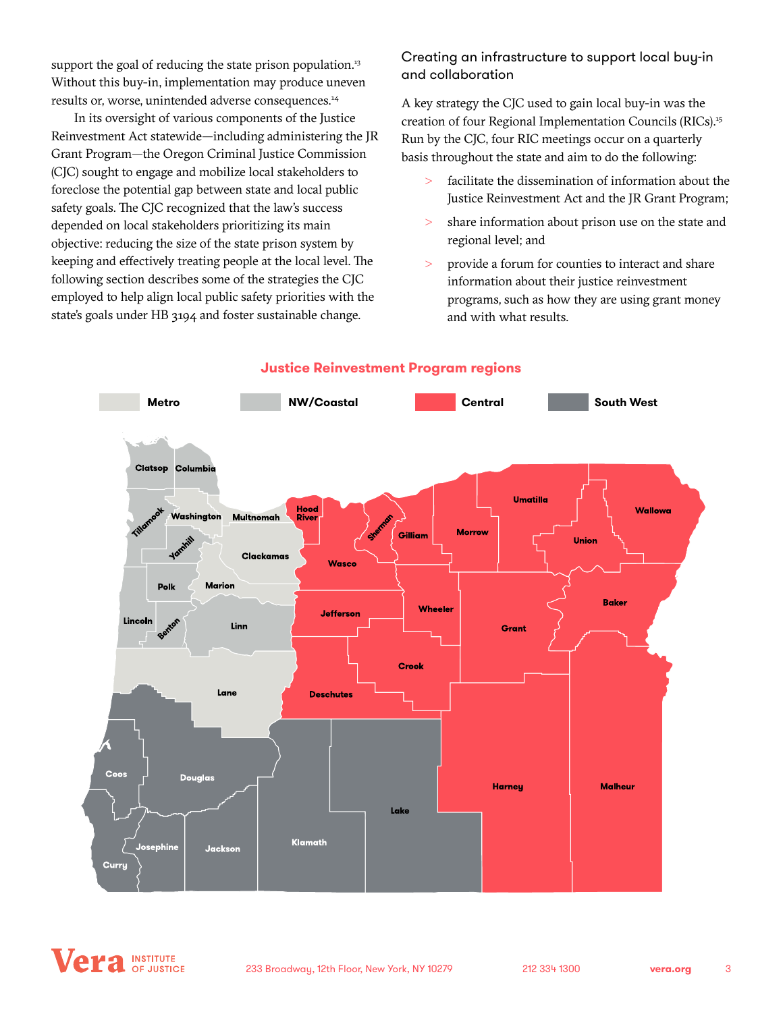support the goal of reducing the state prison population.<sup>13</sup> Without this buy-in, implementation may produce uneven results or, worse, unintended adverse consequences.14

In its oversight of various components of the Justice Reinvestment Act statewide—including administering the JR Grant Program—the Oregon Criminal Justice Commission (CJC) sought to engage and mobilize local stakeholders to foreclose the potential gap between state and local public safety goals. The CJC recognized that the law's success depended on local stakeholders prioritizing its main objective: reducing the size of the state prison system by keeping and effectively treating people at the local level. The following section describes some of the strategies the CJC employed to help align local public safety priorities with the state's goals under HB 3194 and foster sustainable change.

### Creating an infrastructure to support local buy-in and collaboration

A key strategy the CJC used to gain local buy-in was the creation of four Regional Implementation Councils (RICs).15 Run by the CJC, four RIC meetings occur on a quarterly basis throughout the state and aim to do the following:

- facilitate the dissemination of information about the Justice Reinvestment Act and the JR Grant Program;
- > share information about prison use on the state and regional level; and
- > provide a forum for counties to interact and share information about their justice reinvestment programs, such as how they are using grant money and with what results.



### **Justice Reinvestment Program regions**

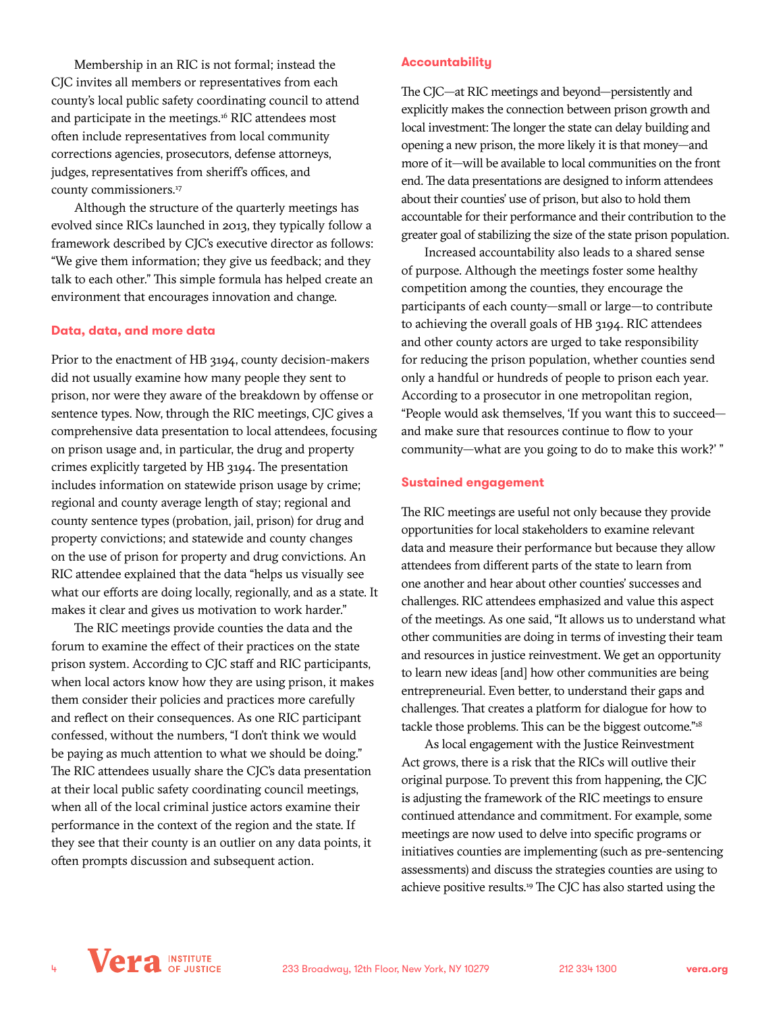Membership in an RIC is not formal; instead the CJC invites all members or representatives from each county's local public safety coordinating council to attend and participate in the meetings.16 RIC attendees most often include representatives from local community corrections agencies, prosecutors, defense attorneys, judges, representatives from sheriff's offices, and county commissioners.17

Although the structure of the quarterly meetings has evolved since RICs launched in 2013, they typically follow a framework described by CJC's executive director as follows: "We give them information; they give us feedback; and they talk to each other." This simple formula has helped create an environment that encourages innovation and change.

#### **Data, data, and more data**

Prior to the enactment of HB 3194, county decision-makers did not usually examine how many people they sent to prison, nor were they aware of the breakdown by offense or sentence types. Now, through the RIC meetings, CJC gives a comprehensive data presentation to local attendees, focusing on prison usage and, in particular, the drug and property crimes explicitly targeted by HB 3194. The presentation includes information on statewide prison usage by crime; regional and county average length of stay; regional and county sentence types (probation, jail, prison) for drug and property convictions; and statewide and county changes on the use of prison for property and drug convictions. An RIC attendee explained that the data "helps us visually see what our efforts are doing locally, regionally, and as a state. It makes it clear and gives us motivation to work harder."

The RIC meetings provide counties the data and the forum to examine the effect of their practices on the state prison system. According to CJC staff and RIC participants, when local actors know how they are using prison, it makes them consider their policies and practices more carefully and reflect on their consequences. As one RIC participant confessed, without the numbers, "I don't think we would be paying as much attention to what we should be doing." The RIC attendees usually share the CJC's data presentation at their local public safety coordinating council meetings, when all of the local criminal justice actors examine their performance in the context of the region and the state. If they see that their county is an outlier on any data points, it often prompts discussion and subsequent action.

#### **Accountability**

The CJC—at RIC meetings and beyond—persistently and explicitly makes the connection between prison growth and local investment: The longer the state can delay building and opening a new prison, the more likely it is that money—and more of it—will be available to local communities on the front end. The data presentations are designed to inform attendees about their counties' use of prison, but also to hold them accountable for their performance and their contribution to the greater goal of stabilizing the size of the state prison population.

Increased accountability also leads to a shared sense of purpose. Although the meetings foster some healthy competition among the counties, they encourage the participants of each county—small or large—to contribute to achieving the overall goals of HB 3194. RIC attendees and other county actors are urged to take responsibility for reducing the prison population, whether counties send only a handful or hundreds of people to prison each year. According to a prosecutor in one metropolitan region, "People would ask themselves, 'If you want this to succeed and make sure that resources continue to flow to your community—what are you going to do to make this work?' "

#### **Sustained engagement**

The RIC meetings are useful not only because they provide opportunities for local stakeholders to examine relevant data and measure their performance but because they allow attendees from different parts of the state to learn from one another and hear about other counties' successes and challenges. RIC attendees emphasized and value this aspect of the meetings. As one said, "It allows us to understand what other communities are doing in terms of investing their team and resources in justice reinvestment. We get an opportunity to learn new ideas [and] how other communities are being entrepreneurial. Even better, to understand their gaps and challenges. That creates a platform for dialogue for how to tackle those problems. This can be the biggest outcome."<sup>18</sup>

As local engagement with the Justice Reinvestment Act grows, there is a risk that the RICs will outlive their original purpose. To prevent this from happening, the CJC is adjusting the framework of the RIC meetings to ensure continued attendance and commitment. For example, some meetings are now used to delve into specific programs or initiatives counties are implementing (such as pre-sentencing assessments) and discuss the strategies counties are using to achieve positive results.19 The CJC has also started using the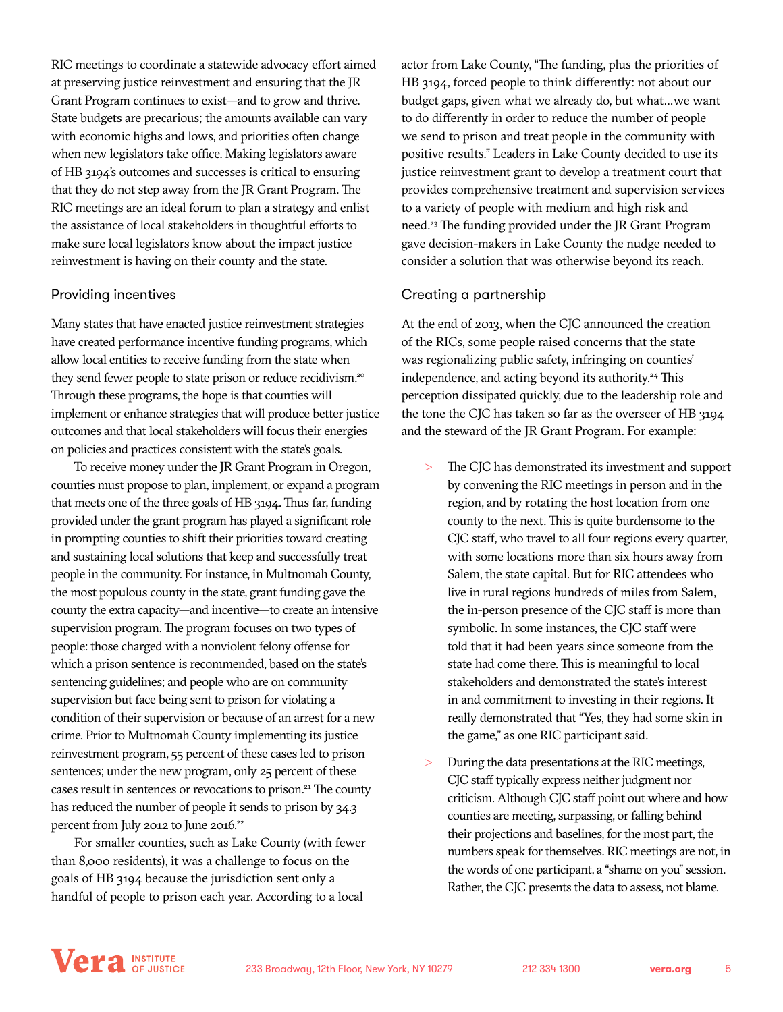RIC meetings to coordinate a statewide advocacy effort aimed at preserving justice reinvestment and ensuring that the JR Grant Program continues to exist—and to grow and thrive. State budgets are precarious; the amounts available can vary with economic highs and lows, and priorities often change when new legislators take office. Making legislators aware of HB 3194's outcomes and successes is critical to ensuring that they do not step away from the JR Grant Program. The RIC meetings are an ideal forum to plan a strategy and enlist the assistance of local stakeholders in thoughtful efforts to make sure local legislators know about the impact justice reinvestment is having on their county and the state.

### Providing incentives

Many states that have enacted justice reinvestment strategies have created performance incentive funding programs, which allow local entities to receive funding from the state when they send fewer people to state prison or reduce recidivism.<sup>20</sup> Through these programs, the hope is that counties will implement or enhance strategies that will produce better justice outcomes and that local stakeholders will focus their energies on policies and practices consistent with the state's goals.

To receive money under the JR Grant Program in Oregon, counties must propose to plan, implement, or expand a program that meets one of the three goals of HB 3194. Thus far, funding provided under the grant program has played a significant role in prompting counties to shift their priorities toward creating and sustaining local solutions that keep and successfully treat people in the community. For instance, in Multnomah County, the most populous county in the state, grant funding gave the county the extra capacity—and incentive—to create an intensive supervision program. The program focuses on two types of people: those charged with a nonviolent felony offense for which a prison sentence is recommended, based on the state's sentencing guidelines; and people who are on community supervision but face being sent to prison for violating a condition of their supervision or because of an arrest for a new crime. Prior to Multnomah County implementing its justice reinvestment program, 55 percent of these cases led to prison sentences; under the new program, only 25 percent of these cases result in sentences or revocations to prison.<sup>21</sup> The county has reduced the number of people it sends to prison by 34.3 percent from July 2012 to June 2016.<sup>22</sup>

For smaller counties, such as Lake County (with fewer than 8,000 residents), it was a challenge to focus on the goals of HB 3194 because the jurisdiction sent only a handful of people to prison each year. According to a local

actor from Lake County, "The funding, plus the priorities of HB 3194, forced people to think differently: not about our budget gaps, given what we already do, but what…we want to do differently in order to reduce the number of people we send to prison and treat people in the community with positive results." Leaders in Lake County decided to use its justice reinvestment grant to develop a treatment court that provides comprehensive treatment and supervision services to a variety of people with medium and high risk and need.<sup>23</sup> The funding provided under the JR Grant Program gave decision-makers in Lake County the nudge needed to consider a solution that was otherwise beyond its reach.

### Creating a partnership

At the end of 2013, when the CJC announced the creation of the RICs, some people raised concerns that the state was regionalizing public safety, infringing on counties' independence, and acting beyond its authority.<sup>24</sup> This perception dissipated quickly, due to the leadership role and the tone the CJC has taken so far as the overseer of HB 3194 and the steward of the JR Grant Program. For example:

- > The CJC has demonstrated its investment and support by convening the RIC meetings in person and in the region, and by rotating the host location from one county to the next. This is quite burdensome to the CJC staff, who travel to all four regions every quarter, with some locations more than six hours away from Salem, the state capital. But for RIC attendees who live in rural regions hundreds of miles from Salem, the in-person presence of the CJC staff is more than symbolic. In some instances, the CJC staff were told that it had been years since someone from the state had come there. This is meaningful to local stakeholders and demonstrated the state's interest in and commitment to investing in their regions. It really demonstrated that "Yes, they had some skin in the game," as one RIC participant said.
- > During the data presentations at the RIC meetings, CJC staff typically express neither judgment nor criticism. Although CJC staff point out where and how counties are meeting, surpassing, or falling behind their projections and baselines, for the most part, the numbers speak for themselves. RIC meetings are not, in the words of one participant, a "shame on you" session. Rather, the CJC presents the data to assess, not blame.

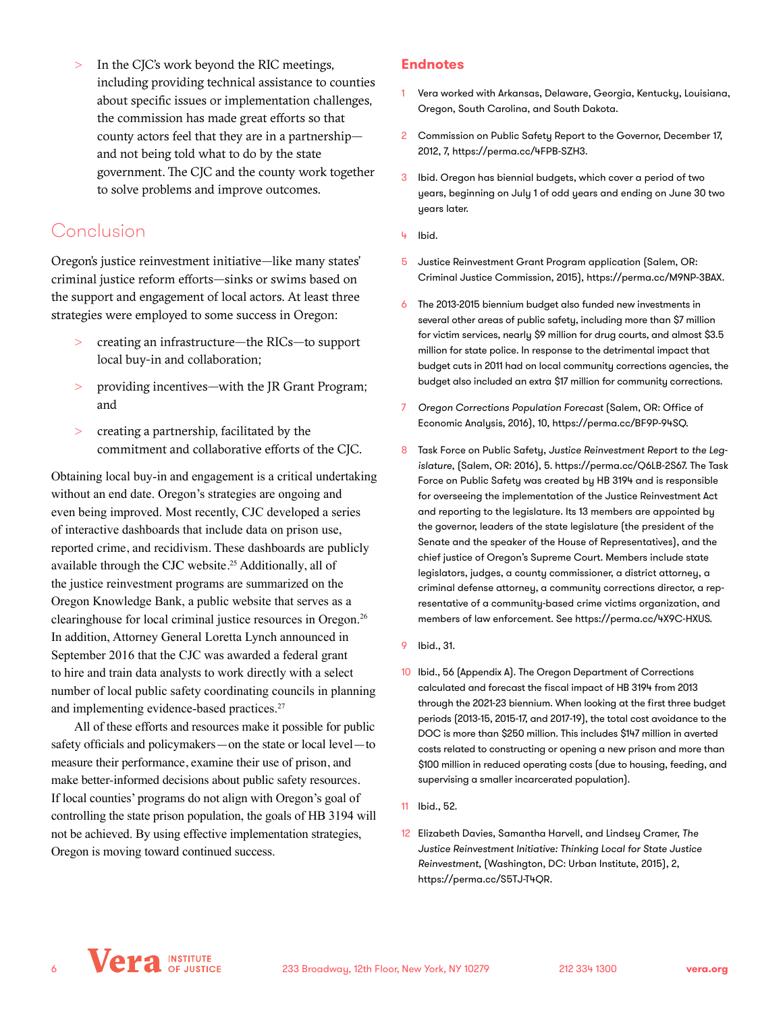> In the CJC's work beyond the RIC meetings, including providing technical assistance to counties about specific issues or implementation challenges, the commission has made great efforts so that county actors feel that they are in a partnership and not being told what to do by the state government. The CJC and the county work together to solve problems and improve outcomes.

# Conclusion

Oregon's justice reinvestment initiative—like many states' criminal justice reform efforts—sinks or swims based on the support and engagement of local actors. At least three strategies were employed to some success in Oregon:

- > creating an infrastructure—the RICs—to support local buy-in and collaboration;
- providing incentives—with the JR Grant Program; and
- > creating a partnership, facilitated by the commitment and collaborative efforts of the CJC.

Obtaining local buy-in and engagement is a critical undertaking without an end date. Oregon's strategies are ongoing and even being improved. Most recently, CJC developed a series of interactive dashboards that include data on prison use, reported crime, and recidivism. These dashboards are publicly available through the CJC website.25 Additionally, all of the justice reinvestment programs are summarized on the Oregon Knowledge Bank, a public website that serves as a clearinghouse for local criminal justice resources in Oregon.26 In addition, Attorney General Loretta Lynch announced in September 2016 that the CJC was awarded a federal grant to hire and train data analysts to work directly with a select number of local public safety coordinating councils in planning and implementing evidence-based practices.<sup>27</sup>

All of these efforts and resources make it possible for public safety officials and policymakers—on the state or local level—to measure their performance, examine their use of prison, and make better-informed decisions about public safety resources. If local counties' programs do not align with Oregon's goal of controlling the state prison population, the goals of HB 3194 will not be achieved. By using effective implementation strategies, Oregon is moving toward continued success.

#### **Endnotes**

- 1 Vera worked with Arkansas, Delaware, Georgia, Kentucky, Louisiana, Oregon, South Carolina, and South Dakota.
- 2 Commission on Public Safety Report to the Governor, December 17, 2012, 7, https://perma.cc/4FPB-SZH3.
- 3 Ibid. Oregon has biennial budgets, which cover a period of two years, beginning on July 1 of odd years and ending on June 30 two years later.
- 4 Ibid.
- 5 Justice Reinvestment Grant Program application (Salem, OR: Criminal Justice Commission, 2015), https://perma.cc/M9NP-3BAX.
- 6 The 2013-2015 biennium budget also funded new investments in several other areas of public safety, including more than \$7 million for victim services, nearly \$9 million for drug courts, and almost \$3.5 million for state police. In response to the detrimental impact that budget cuts in 2011 had on local community corrections agencies, the budget also included an extra \$17 million for community corrections.
- 7 *Oregon Corrections Population Forecast* (Salem, OR: Office of Economic Analysis, 2016), 10, https://perma.cc/BF9P-94SQ.
- 8 Task Force on Public Safety, *Justice Reinvestment Report to the Legislature*, (Salem, OR: 2016), 5. https://perma.cc/Q6LB-2S67. The Task Force on Public Safety was created by HB 3194 and is responsible for overseeing the implementation of the Justice Reinvestment Act and reporting to the legislature. Its 13 members are appointed by the governor, leaders of the state legislature (the president of the Senate and the speaker of the House of Representatives), and the chief justice of Oregon's Supreme Court. Members include state legislators, judges, a county commissioner, a district attorney, a criminal defense attorney, a community corrections director, a representative of a community-based crime victims organization, and members of law enforcement. See https://perma.cc/4X9C-HXUS.
- 9 Ibid., 31.
- 10 Ibid., 56 (Appendix A). The Oregon Department of Corrections calculated and forecast the fiscal impact of HB 3194 from 2013 through the 2021-23 biennium. When looking at the first three budget periods (2013-15, 2015-17, and 2017-19), the total cost avoidance to the DOC is more than \$250 million. This includes \$147 million in averted costs related to constructing or opening a new prison and more than \$100 million in reduced operating costs (due to housing, feeding, and supervising a smaller incarcerated population).
- 11 Ibid., 52.
- 12 Elizabeth Davies, Samantha Harvell, and Lindsey Cramer, *The Justice Reinvestment Initiative: Thinking Local for State Justice Reinvestment*, (Washington, DC: Urban Institute, 2015), 2, https://perma.cc/S5TJ-T4QR.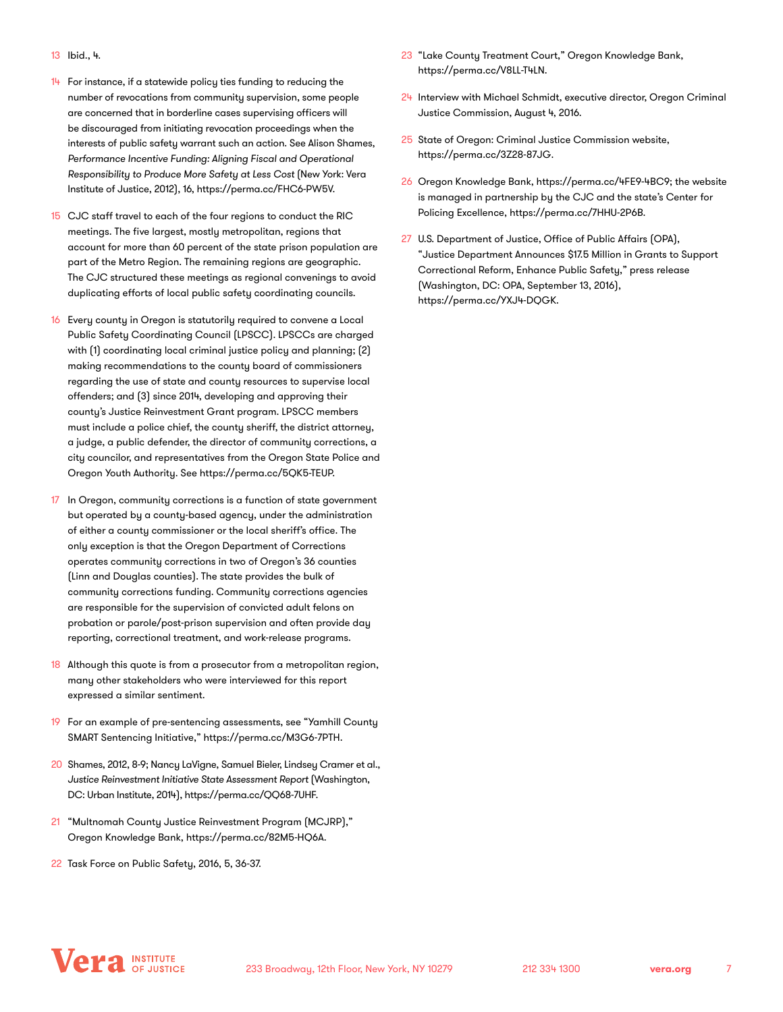- $14$  For instance, if a statewide policy ties funding to reducing the number of revocations from community supervision, some people are concerned that in borderline cases supervising officers will be discouraged from initiating revocation proceedings when the interests of public safety warrant such an action. See Alison Shames, *Performance Incentive Funding: Aligning Fiscal and Operational Responsibility to Produce More Safety at Less Cost* (New York: Vera Institute of Justice, 2012), 16, https://perma.cc/FHC6-PW5V.
- 15 CJC staff travel to each of the four regions to conduct the RIC meetings. The five largest, mostly metropolitan, regions that account for more than 60 percent of the state prison population are part of the Metro Region. The remaining regions are geographic. The CJC structured these meetings as regional convenings to avoid duplicating efforts of local public safety coordinating councils.
- 16 Every county in Oregon is statutorily required to convene a Local Public Safety Coordinating Council (LPSCC). LPSCCs are charged with (1) coordinating local criminal justice policy and planning; (2) making recommendations to the county board of commissioners regarding the use of state and county resources to supervise local offenders; and (3) since 2014, developing and approving their county's Justice Reinvestment Grant program. LPSCC members must include a police chief, the county sheriff, the district attorney, a judge, a public defender, the director of community corrections, a city councilor, and representatives from the Oregon State Police and Oregon Youth Authority. See https://perma.cc/5QK5-TEUP.
- 17 In Oregon, community corrections is a function of state government but operated by a county-based agency, under the administration of either a county commissioner or the local sheriff's office. The only exception is that the Oregon Department of Corrections operates community corrections in two of Oregon's 36 counties (Linn and Douglas counties). The state provides the bulk of community corrections funding. Community corrections agencies are responsible for the supervision of convicted adult felons on probation or parole/post-prison supervision and often provide day reporting, correctional treatment, and work-release programs.
- 18 Although this quote is from a prosecutor from a metropolitan region, many other stakeholders who were interviewed for this report expressed a similar sentiment.
- 19 For an example of pre-sentencing assessments, see "Yamhill County SMART Sentencing Initiative," https://perma.cc/M3G6-7PTH.
- 20 Shames, 2012, 8-9; Nancy LaVigne, Samuel Bieler, Lindsey Cramer et al., *Justice Reinvestment Initiative State Assessment Report* (Washington, DC: Urban Institute, 2014), https://perma.cc/QQ68-7UHF.
- 21 "Multnomah County Justice Reinvestment Program (MCJRP)," Oregon Knowledge Bank, https://perma.cc/82M5-HQ6A.
- 22 Task Force on Public Safety, 2016, 5, 36-37.
- 23 "Lake County Treatment Court," Oregon Knowledge Bank, https://perma.cc/V8LL-T4LN.
- 24 Interview with Michael Schmidt, executive director, Oregon Criminal Justice Commission, August 4, 2016.
- 25 State of Oregon: Criminal Justice Commission website, https://perma.cc/3Z28-87JG.
- 26 Oregon Knowledge Bank, https://perma.cc/4FE9-4BC9; the website is managed in partnership by the CJC and the state's Center for Policing Excellence, https://perma.cc/7HHU-2P6B.
- 27 U.S. Department of Justice, Office of Public Affairs (OPA), "Justice Department Announces \$17.5 Million in Grants to Support Correctional Reform, Enhance Public Safety," press release (Washington, DC: OPA, September 13, 2016), https://perma.cc/YXJ4-DQGK.